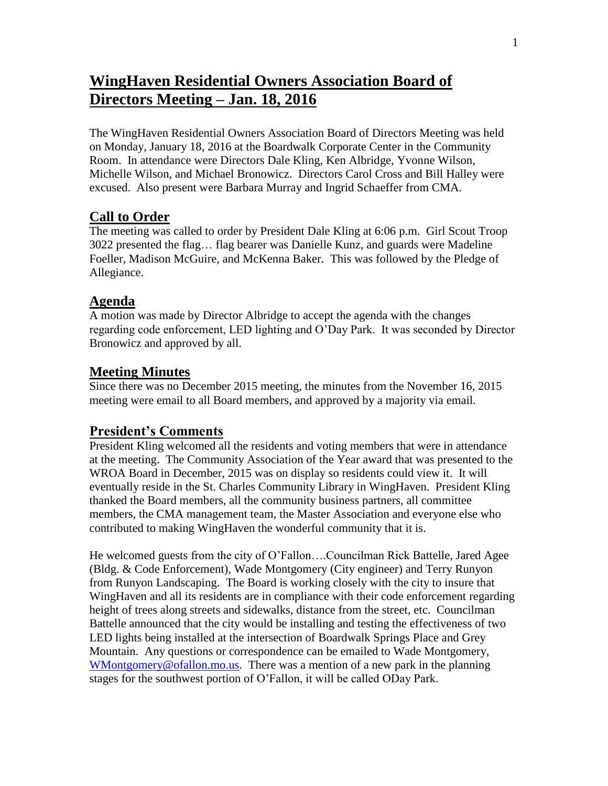# **WingHaven Residential Owners Association Board of Directors Meeting – Jan. 18, 2016**

The WingHaven Residential Owners Association Board of Directors Meeting was held on Monday, January 18, 2016 at the Boardwalk Corporate Center in the Community Room. In attendance were Directors Dale Kling, Ken Albridge, Yvonne Wilson, Michelle Wilson, and Michael Bronowicz. Directors Carol Cross and Bill Halley were excused. Also present were Barbara Murray and Ingrid Schaeffer from CMA.

# **Call to Order**

The meeting was called to order by President Dale Kling at 6:06 p.m. Girl Scout Troop 3022 presented the flag… flag bearer was Danielle Kunz, and guards were Madeline Foeller, Madison McGuire, and McKenna Baker. This was followed by the Pledge of Allegiance.

#### **Agenda**

A motion was made by Director Albridge to accept the agenda with the changes regarding code enforcement, LED lighting and O'Day Park. It was seconded by Director Bronowicz and approved by all.

## **Meeting Minutes**

Since there was no December 2015 meeting, the minutes from the November 16, 2015 meeting were email to all Board members, and approved by a majority via email.

## **President's Comments**

President Kling welcomed all the residents and voting members that were in attendance at the meeting. The Community Association of the Year award that was presented to the WROA Board in December, 2015 was on display so residents could view it. It will eventually reside in the St. Charles Community Library in WingHaven. President Kling thanked the Board members, all the community business partners, all committee members, the CMA management team, the Master Association and everyone else who contributed to making WingHaven the wonderful community that it is.

He welcomed guests from the city of O'Fallon….Councilman Rick Battelle, Jared Agee (Bldg. & Code Enforcement), Wade Montgomery (City engineer) and Terry Runyon from Runyon Landscaping. The Board is working closely with the city to insure that WingHaven and all its residents are in compliance with their code enforcement regarding height of trees along streets and sidewalks, distance from the street, etc. Councilman Battelle announced that the city would be installing and testing the effectiveness of two LED lights being installed at the intersection of Boardwalk Springs Place and Grey Mountain. Any questions or correspondence can be emailed to Wade Montgomery, [WMontgomery@ofallon.mo.us.](mailto:WMontgomery@ofallon.mo.us) There was a mention of a new park in the planning stages for the southwest portion of O'Fallon, it will be called ODay Park.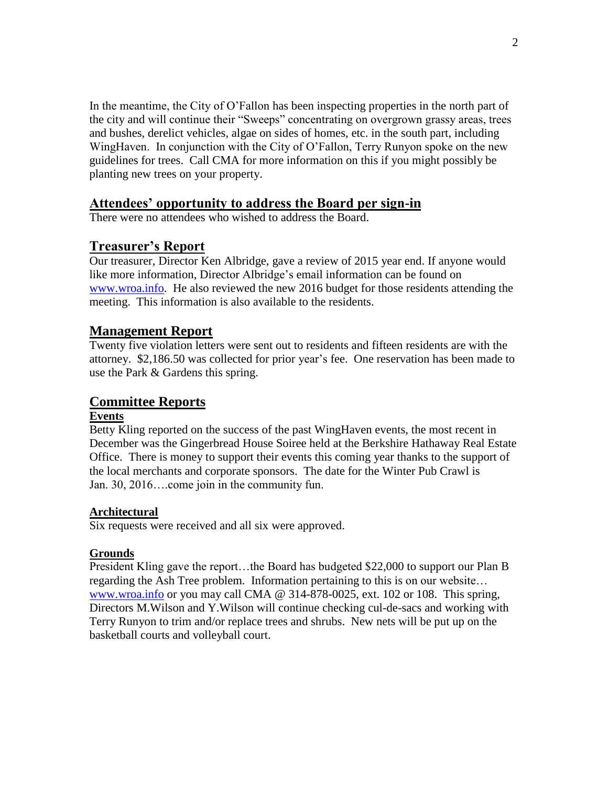In the meantime, the City of O'Fallon has been inspecting properties in the north part of the city and will continue their "Sweeps" concentrating on overgrown grassy areas, trees and bushes, derelict vehicles, algae on sides of homes, etc. in the south part, including WingHaven. In conjunction with the City of O'Fallon, Terry Runyon spoke on the new guidelines for trees. Call CMA for more information on this if you might possibly be planting new trees on your property.

# **Attendees' opportunity to address the Board per sign-in**

There were no attendees who wished to address the Board.

# **Treasurer's Report**

Our treasurer, Director Ken Albridge, gave a review of 2015 year end. If anyone would like more information, Director Albridge's email information can be found on [www.wroa.info.](http://www.wroa.info/) He also reviewed the new 2016 budget for those residents attending the meeting. This information is also available to the residents.

## **Management Report**

Twenty five violation letters were sent out to residents and fifteen residents are with the attorney. \$2,186.50 was collected for prior year's fee. One reservation has been made to use the Park & Gardens this spring.

# **Committee Reports**

#### **Events**

Betty Kling reported on the success of the past WingHaven events, the most recent in December was the Gingerbread House Soiree held at the Berkshire Hathaway Real Estate Office. There is money to support their events this coming year thanks to the support of the local merchants and corporate sponsors. The date for the Winter Pub Crawl is Jan. 30, 2016….come join in the community fun.

## **Architectural**

Six requests were received and all six were approved.

## **Grounds**

President Kling gave the report…the Board has budgeted \$22,000 to support our Plan B regarding the Ash Tree problem. Information pertaining to this is on our website… [www.wroa.info](http://www.wroa.info/) or you may call CMA @ 314-878-0025, ext. 102 or 108. This spring, Directors M.Wilson and Y.Wilson will continue checking cul-de-sacs and working with Terry Runyon to trim and/or replace trees and shrubs. New nets will be put up on the basketball courts and volleyball court.